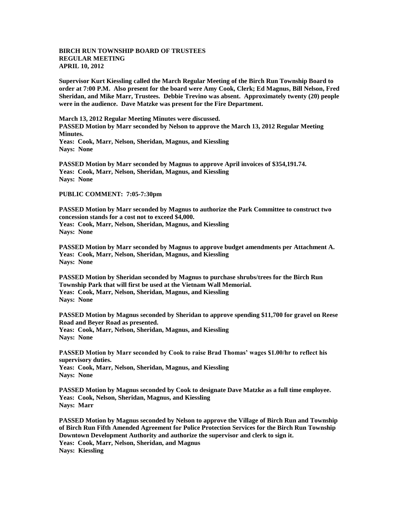## **BIRCH RUN TOWNSHIP BOARD OF TRUSTEES REGULAR MEETING APRIL 10, 2012**

**Supervisor Kurt Kiessling called the March Regular Meeting of the Birch Run Township Board to order at 7:00 P.M. Also present for the board were Amy Cook, Clerk; Ed Magnus, Bill Nelson, Fred Sheridan, and Mike Marr, Trustees. Debbie Trevino was absent. Approximately twenty (20) people were in the audience. Dave Matzke was present for the Fire Department.** 

**March 13, 2012 Regular Meeting Minutes were discussed. PASSED Motion by Marr seconded by Nelson to approve the March 13, 2012 Regular Meeting Minutes. Yeas: Cook, Marr, Nelson, Sheridan, Magnus, and Kiessling Nays: None** 

**PASSED Motion by Marr seconded by Magnus to approve April invoices of \$354,191.74. Yeas: Cook, Marr, Nelson, Sheridan, Magnus, and Kiessling Nays: None** 

## **PUBLIC COMMENT: 7:05-7:30pm**

**PASSED Motion by Marr seconded by Magnus to authorize the Park Committee to construct two concession stands for a cost not to exceed \$4,000. Yeas: Cook, Marr, Nelson, Sheridan, Magnus, and Kiessling Nays: None**

**PASSED Motion by Marr seconded by Magnus to approve budget amendments per Attachment A. Yeas: Cook, Marr, Nelson, Sheridan, Magnus, and Kiessling Nays: None**

**PASSED Motion by Sheridan seconded by Magnus to purchase shrubs/trees for the Birch Run Township Park that will first be used at the Vietnam Wall Memorial. Yeas: Cook, Marr, Nelson, Sheridan, Magnus, and Kiessling Nays: None**

**PASSED Motion by Magnus seconded by Sheridan to approve spending \$11,700 for gravel on Reese Road and Beyer Road as presented.**

**Yeas: Cook, Marr, Nelson, Sheridan, Magnus, and Kiessling Nays: None**

**PASSED Motion by Marr seconded by Cook to raise Brad Thomas' wages \$1.00/hr to reflect his supervisory duties.**

**Yeas: Cook, Marr, Nelson, Sheridan, Magnus, and Kiessling Nays: None**

**PASSED Motion by Magnus seconded by Cook to designate Dave Matzke as a full time employee. Yeas: Cook, Nelson, Sheridan, Magnus, and Kiessling Nays: Marr**

**PASSED Motion by Magnus seconded by Nelson to approve the Village of Birch Run and Township of Birch Run Fifth Amended Agreement for Police Protection Services for the Birch Run Township Downtown Development Authority and authorize the supervisor and clerk to sign it. Yeas: Cook, Marr, Nelson, Sheridan, and Magnus Nays: Kiessling**